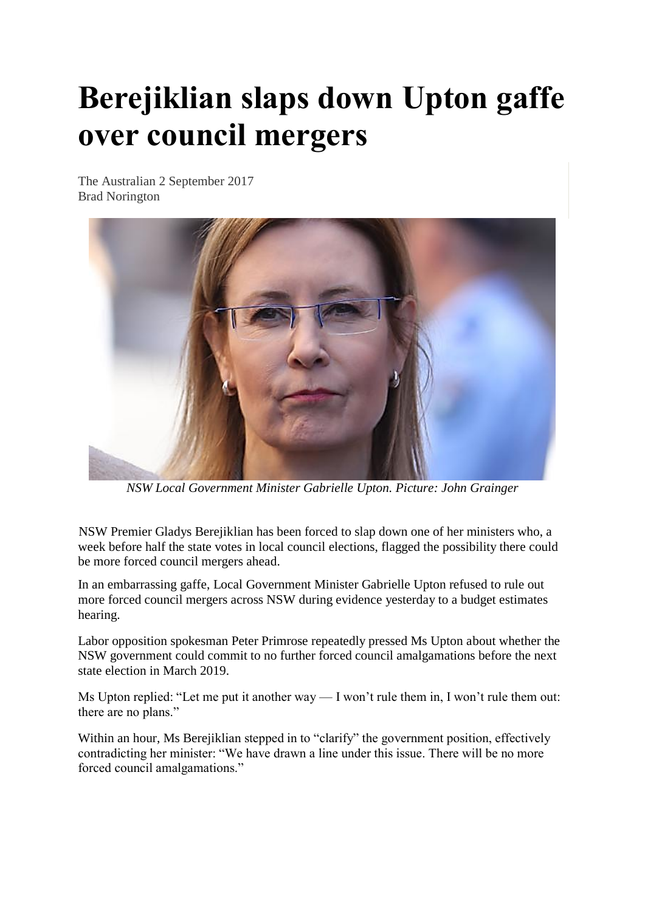## **Berejiklian slaps down Upton gaffe over council mergers**

The Australian 2 September 2017 Brad Norington



*NSW Local Government Minister Gabrielle Upton. Picture: John Grainger*

NSW Premier Gladys Berejiklian has been forced to slap down one of her ministers who, a week before half the state votes in local council elections, flagged the possibility there could be more forced council mergers ahead.

In an embarrassing gaffe, Local Government Minister Gabrielle Upton refused to rule out more forced council mergers across NSW during evidence yesterday to a budget estimates hearing.

Labor opposition spokesman Peter Primrose repeatedly pressed Ms Upton about whether the NSW government could commit to no further forced council amalgamations before the next state election in March 2019.

Ms Upton replied: "Let me put it another way — I won't rule them in, I won't rule them out: there are no plans."

Within an hour, Ms Berejiklian stepped in to "clarify" the government position, effectively contradicting her minister: "We have drawn a line under this issue. There will be no more forced council amalgamations."